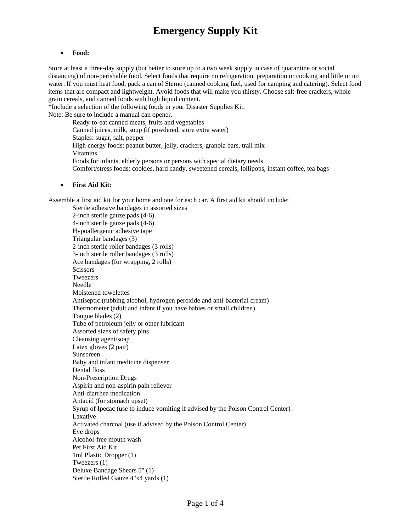#### • **Food:**

Store at least a three-day supply (but better to store up to a two week supply in case of quarantine or social distancing) of non-perishable food. Select foods that require no refrigeration, preparation or cooking and little or no water. If you must heat food, pack a can of Sterno (canned cooking fuel, used for camping and catering). Select food items that are compact and lightweight. Avoid foods that will make you thirsty. Choose salt-free crackers, whole grain cereals, and canned foods with high liquid content.

\*Include a selection of the following foods in your Disaster Supplies Kit: Note: Be sure to include a manual can opener.

> Ready-to-eat canned meats, fruits and vegetables Canned juices, milk, soup (if powdered, store extra water) Staples: sugar, salt, pepper High energy foods: peanut butter, jelly, crackers, granola bars, trail mix Vitamins Foods for infants, elderly persons or persons with special dietary needs Comfort/stress foods: cookies, hard candy, sweetened cereals, lollipops, instant coffee, tea bags

### • **First Aid Kit:**

Assemble a first aid kit for your home and one for each car. A first aid kit should include:

Sterile adhesive bandages in assorted sizes 2-inch sterile gauze pads (4-6) 4-inch sterile gauze pads (4-6) Hypoallergenic adhesive tape Triangular bandages (3) 2-inch sterile roller bandages (3 rolls) 3-inch sterile roller bandages (3 rolls) Ace bandages (for wrapping, 2 rolls) **Scissors** Tweezers Needle Moistened towelettes Antiseptic (rubbing alcohol, hydrogen peroxide and anti-bacterial cream) Thermometer (adult and infant if you have babies or small children) Tongue blades (2) Tube of petroleum jelly or other lubricant Assorted sizes of safety pins Cleansing agent/soap Latex gloves (2 pair) Sunscreen Baby and infant medicine dispenser Dental floss Non-Prescription Drugs Aspirin and non-aspirin pain reliever Anti-diarrhea medication Antacid (for stomach upset) Syrup of Ipecac (use to induce vomiting if advised by the Poison Control Center) Laxative Activated charcoal (use if advised by the Poison Control Center) Eye drops Alcohol-free mouth wash Pet First Aid Kit 1ml Plastic Dropper (1) Tweezers (1) Deluxe Bandage Shears 5" (1) Sterile Rolled Gauze 4"x4 yards (1)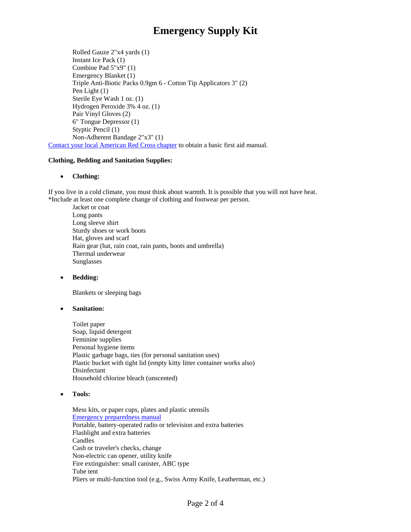Rolled Gauze 2"x4 yards (1) Instant Ice Pack (1) Combine Pad 5"x9" (1) Emergency Blanket (1) Triple Anti-Biotic Packs 0.9gm 6 - Cotton Tip Applicators 3" (2) Pen Light (1) Sterile Eye Wash 1 oz. (1) Hydrogen Peroxide 3% 4 oz. (1) Pair Vinyl Gloves (2) 6" Tongue Depressor (1) Styptic Pencil (1) Non-Adherent Bandage 2"x3" (1) [Contact your local American Red Cross chapter](http://www.redcross.org/where/where.html) to obtain a basic first aid manual.

### **Clothing, Bedding and Sanitation Supplies:**

### • **Clothing:**

If you live in a cold climate, you must think about warmth. It is possible that you will not have heat. \*Include at least one complete change of clothing and footwear per person.

Jacket or coat Long pants Long sleeve shirt Sturdy shoes or work boots Hat, gloves and scarf Rain gear (hat, rain coat, rain pants, boots and umbrella) Thermal underwear Sunglasses

• **Bedding:** 

Blankets or sleeping bags

• **Sanitation:** 

Toilet paper Soap, liquid detergent Feminine supplies Personal hygiene items Plastic garbage bags, ties (for personal sanitation uses) Plastic bucket with tight lid (empty kitty litter container works also) Disinfectant Household chlorine bleach (unscented)

• **Tools:** 

Mess kits, or paper cups, plates and plastic utensils [Emergency preparedness manual](http://www.fema.gov/areyouready/) Portable, battery-operated radio or television and extra batteries Flashlight and extra batteries Candles Cash or traveler's checks, change Non-electric can opener, utility knife Fire extinguisher: small canister, ABC type Tube tent Pliers or multi-function tool (e.g., Swiss Army Knife, Leatherman, etc.)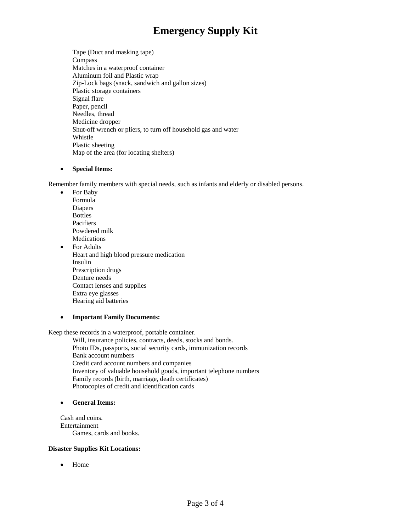Tape (Duct and masking tape) Compass Matches in a waterproof container Aluminum foil and Plastic wrap Zip-Lock bags (snack, sandwich and gallon sizes) Plastic storage containers Signal flare Paper, pencil Needles, thread Medicine dropper Shut-off wrench or pliers, to turn off household gas and water Whistle Plastic sheeting Map of the area (for locating shelters)

### • **Special Items:**

Remember family members with special needs, such as infants and elderly or disabled persons.

- For Baby Formula Diapers Bottles Pacifiers Powdered milk Medications
- For Adults Heart and high blood pressure medication Insulin Prescription drugs Denture needs Contact lenses and supplies Extra eye glasses Hearing aid batteries
- **Important Family Documents:**

Keep these records in a waterproof, portable container.

Will, insurance policies, contracts, deeds, stocks and bonds. Photo IDs, passports, social security cards, immunization records Bank account numbers Credit card account numbers and companies Inventory of valuable household goods, important telephone numbers Family records (birth, marriage, death certificates) Photocopies of credit and identification cards

### • **General Items:**

Cash and coins. Entertainment Games, cards and books.

### **Disaster Supplies Kit Locations:**

• Home